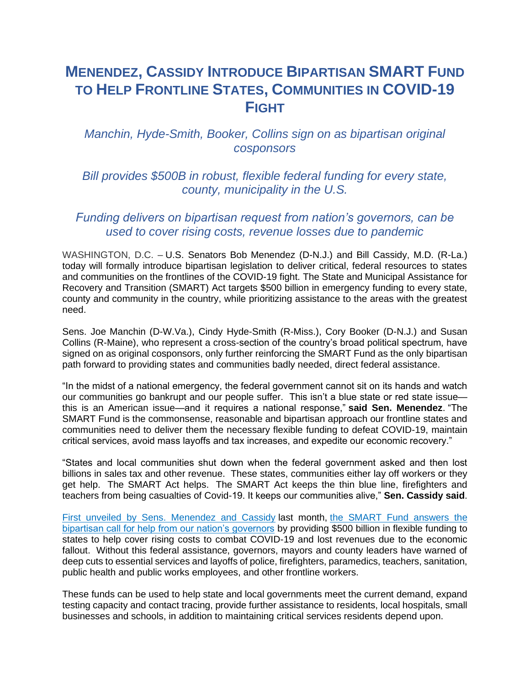## **MENENDEZ, CASSIDY INTRODUCE BIPARTISAN SMART FUND TO HELP FRONTLINE STATES, COMMUNITIES IN COVID-19 FIGHT**

## *Manchin, Hyde-Smith, Booker, Collins sign on as bipartisan original cosponsors*

*Bill provides \$500B in robust, flexible federal funding for every state, county, municipality in the U.S.*

## *Funding delivers on bipartisan request from nation's governors, can be used to cover rising costs, revenue losses due to pandemic*

WASHINGTON, D.C. – U.S. Senators Bob Menendez (D-N.J.) and Bill Cassidy, M.D. (R-La.) today will formally introduce bipartisan legislation to deliver critical, federal resources to states and communities on the frontlines of the COVID-19 fight. The State and Municipal Assistance for Recovery and Transition (SMART) Act targets \$500 billion in emergency funding to every state, county and community in the country, while prioritizing assistance to the areas with the greatest need.

Sens. Joe Manchin (D-W.Va.), Cindy Hyde-Smith (R-Miss.), Cory Booker (D-N.J.) and Susan Collins (R-Maine), who represent a cross-section of the country's broad political spectrum, have signed on as original cosponsors, only further reinforcing the SMART Fund as the only bipartisan path forward to providing states and communities badly needed, direct federal assistance.

"In the midst of a national emergency, the federal government cannot sit on its hands and watch our communities go bankrupt and our people suffer. This isn't a blue state or red state issue this is an American issue—and it requires a national response," **said Sen. Menendez**. "The SMART Fund is the commonsense, reasonable and bipartisan approach our frontline states and communities need to deliver them the necessary flexible funding to defeat COVID-19, maintain critical services, avoid mass layoffs and tax increases, and expedite our economic recovery."

"States and local communities shut down when the federal government asked and then lost billions in sales tax and other revenue. These states, communities either lay off workers or they get help. The SMART Act helps. The SMART Act keeps the thin blue line, firefighters and teachers from being casualties of Covid-19. It keeps our communities alive," **Sen. Cassidy said**.

[First unveiled by Sens. Menendez and Cassidy](https://www.menendez.senate.gov/news-and-events/press/menendez-cassidy-announce-bipartisan-breakthrough-to-deliver-much-needed-federal-resources-to-states-communities-on-frontline-of-covid-19-fight) last month, [the SMART Fund answers the](https://www.nga.org/news/press-releases/national-governors-association-outlines-need-for-additional-and-immediate-fiscal-assistance-to-states/)  [bipartisan call for help from our nation's governors](https://www.nga.org/news/press-releases/national-governors-association-outlines-need-for-additional-and-immediate-fiscal-assistance-to-states/) by providing \$500 billion in flexible funding to states to help cover rising costs to combat COVID-19 and lost revenues due to the economic fallout. Without this federal assistance, governors, mayors and county leaders have warned of deep cuts to essential services and layoffs of police, firefighters, paramedics, teachers, sanitation, public health and public works employees, and other frontline workers.

These funds can be used to help state and local governments meet the current demand, expand testing capacity and contact tracing, provide further assistance to residents, local hospitals, small businesses and schools, in addition to maintaining critical services residents depend upon.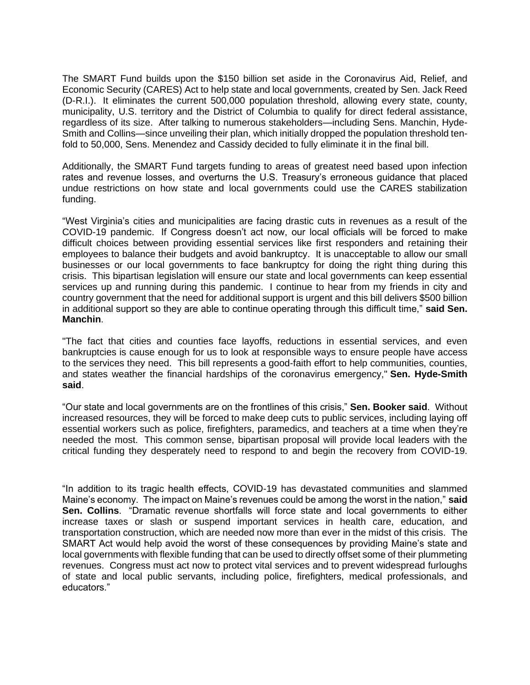The SMART Fund builds upon the \$150 billion set aside in the Coronavirus Aid, Relief, and Economic Security (CARES) Act to help state and local governments, created by Sen. Jack Reed (D-R.I.). It eliminates the current 500,000 population threshold, allowing every state, county, municipality, U.S. territory and the District of Columbia to qualify for direct federal assistance, regardless of its size. After talking to numerous stakeholders—including Sens. Manchin, Hyde-Smith and Collins—since unveiling their plan, which initially dropped the population threshold tenfold to 50,000, Sens. Menendez and Cassidy decided to fully eliminate it in the final bill.

Additionally, the SMART Fund targets funding to areas of greatest need based upon infection rates and revenue losses, and overturns the U.S. Treasury's erroneous guidance that placed undue restrictions on how state and local governments could use the CARES stabilization funding.

"West Virginia's cities and municipalities are facing drastic cuts in revenues as a result of the COVID-19 pandemic. If Congress doesn't act now, our local officials will be forced to make difficult choices between providing essential services like first responders and retaining their employees to balance their budgets and avoid bankruptcy. It is unacceptable to allow our small businesses or our local governments to face bankruptcy for doing the right thing during this crisis. This bipartisan legislation will ensure our state and local governments can keep essential services up and running during this pandemic. I continue to hear from my friends in city and country government that the need for additional support is urgent and this bill delivers \$500 billion in additional support so they are able to continue operating through this difficult time," **said Sen. Manchin**.

"The fact that cities and counties face layoffs, reductions in essential services, and even bankruptcies is cause enough for us to look at responsible ways to ensure people have access to the services they need. This bill represents a good-faith effort to help communities, counties, and states weather the financial hardships of the coronavirus emergency," **Sen. Hyde-Smith said**.

"Our state and local governments are on the frontlines of this crisis," **Sen. Booker said**. Without increased resources, they will be forced to make deep cuts to public services, including laying off essential workers such as police, firefighters, paramedics, and teachers at a time when they're needed the most. This common sense, bipartisan proposal will provide local leaders with the critical funding they desperately need to respond to and begin the recovery from COVID-19.

"In addition to its tragic health effects, COVID-19 has devastated communities and slammed Maine's economy. The impact on Maine's revenues could be among the worst in the nation," **said Sen. Collins**. "Dramatic revenue shortfalls will force state and local governments to either increase taxes or slash or suspend important services in health care, education, and transportation construction, which are needed now more than ever in the midst of this crisis. The SMART Act would help avoid the worst of these consequences by providing Maine's state and local governments with flexible funding that can be used to directly offset some of their plummeting revenues. Congress must act now to protect vital services and to prevent widespread furloughs of state and local public servants, including police, firefighters, medical professionals, and educators."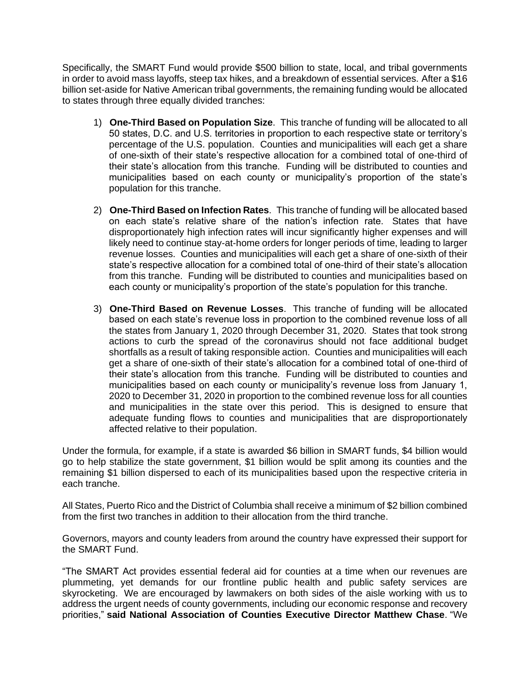Specifically, the SMART Fund would provide \$500 billion to state, local, and tribal governments in order to avoid mass layoffs, steep tax hikes, and a breakdown of essential services. After a \$16 billion set-aside for Native American tribal governments, the remaining funding would be allocated to states through three equally divided tranches:

- 1) **One-Third Based on Population Size**. This tranche of funding will be allocated to all 50 states, D.C. and U.S. territories in proportion to each respective state or territory's percentage of the U.S. population. Counties and municipalities will each get a share of one-sixth of their state's respective allocation for a combined total of one-third of their state's allocation from this tranche. Funding will be distributed to counties and municipalities based on each county or municipality's proportion of the state's population for this tranche.
- 2) **One-Third Based on Infection Rates**. This tranche of funding will be allocated based on each state's relative share of the nation's infection rate. States that have disproportionately high infection rates will incur significantly higher expenses and will likely need to continue stay-at-home orders for longer periods of time, leading to larger revenue losses. Counties and municipalities will each get a share of one-sixth of their state's respective allocation for a combined total of one-third of their state's allocation from this tranche. Funding will be distributed to counties and municipalities based on each county or municipality's proportion of the state's population for this tranche.
- 3) **One-Third Based on Revenue Losses**. This tranche of funding will be allocated based on each state's revenue loss in proportion to the combined revenue loss of all the states from January 1, 2020 through December 31, 2020. States that took strong actions to curb the spread of the coronavirus should not face additional budget shortfalls as a result of taking responsible action. Counties and municipalities will each get a share of one-sixth of their state's allocation for a combined total of one-third of their state's allocation from this tranche. Funding will be distributed to counties and municipalities based on each county or municipality's revenue loss from January 1, 2020 to December 31, 2020 in proportion to the combined revenue loss for all counties and municipalities in the state over this period. This is designed to ensure that adequate funding flows to counties and municipalities that are disproportionately affected relative to their population.

Under the formula, for example, if a state is awarded \$6 billion in SMART funds, \$4 billion would go to help stabilize the state government, \$1 billion would be split among its counties and the remaining \$1 billion dispersed to each of its municipalities based upon the respective criteria in each tranche.

All States, Puerto Rico and the District of Columbia shall receive a minimum of \$2 billion combined from the first two tranches in addition to their allocation from the third tranche.

Governors, mayors and county leaders from around the country have expressed their support for the SMART Fund.

"The SMART Act provides essential federal aid for counties at a time when our revenues are plummeting, yet demands for our frontline public health and public safety services are skyrocketing. We are encouraged by lawmakers on both sides of the aisle working with us to address the urgent needs of county governments, including our economic response and recovery priorities," **said National Association of Counties Executive Director Matthew Chase**. "We